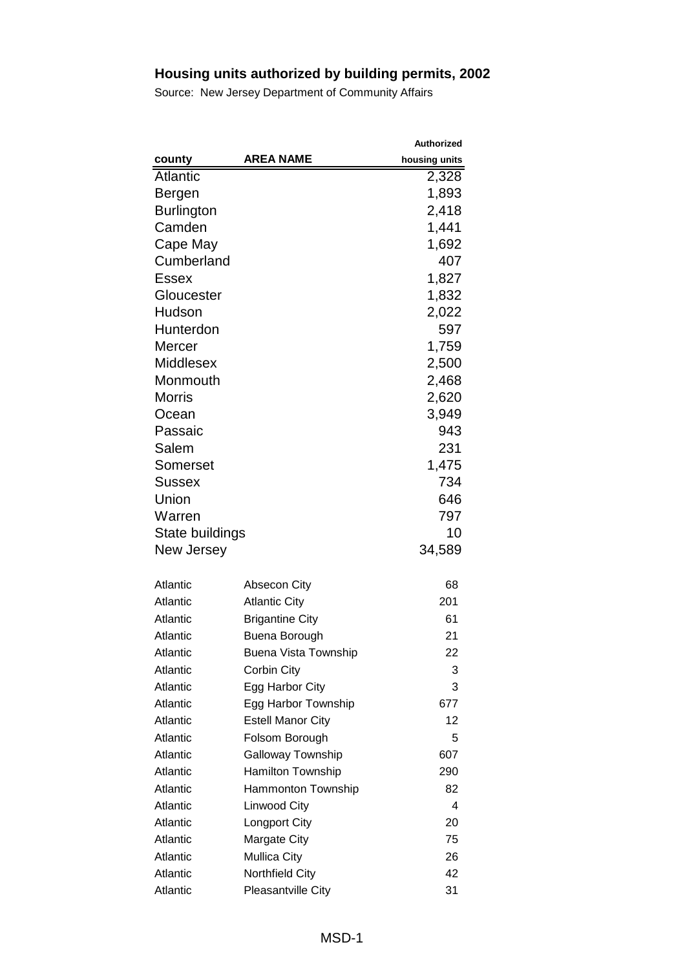|                   |                             | <b>Authorized</b> |
|-------------------|-----------------------------|-------------------|
| county            | <b>AREA NAME</b>            | housing units     |
| <b>Atlantic</b>   |                             | 2,328             |
| Bergen            |                             | 1,893             |
| <b>Burlington</b> |                             | 2,418             |
| Camden            |                             | 1,441             |
| Cape May          |                             | 1,692             |
| Cumberland        |                             | 407               |
| Essex             |                             | 1,827             |
| Gloucester        |                             | 1,832             |
| Hudson            |                             | 2,022             |
| Hunterdon         |                             | 597               |
| Mercer            |                             | 1,759             |
| <b>Middlesex</b>  |                             | 2,500             |
| Monmouth          |                             | 2,468             |
| <b>Morris</b>     |                             | 2,620             |
| Ocean             |                             | 3,949             |
| Passaic           |                             | 943               |
| Salem             |                             | 231               |
| Somerset          |                             | 1,475             |
| <b>Sussex</b>     |                             | 734               |
| Union             |                             | 646               |
| Warren            |                             | 797               |
| State buildings   |                             | 10                |
| New Jersey        |                             | 34,589            |
|                   |                             |                   |
| Atlantic          | <b>Absecon City</b>         | 68                |
| Atlantic          | <b>Atlantic City</b>        | 201               |
| Atlantic          | <b>Brigantine City</b>      | 61                |
| Atlantic          | Buena Borough               | 21                |
| Atlantic          | <b>Buena Vista Township</b> | 22                |
| Atlantic          | Corbin City                 | 3                 |
| Atlantic          | Egg Harbor City             | 3                 |
| Atlantic          | Egg Harbor Township         | 677               |
| Atlantic          | <b>Estell Manor City</b>    | 12                |
| Atlantic          | Folsom Borough              | 5                 |
| Atlantic          | <b>Galloway Township</b>    | 607               |
| Atlantic          | <b>Hamilton Township</b>    | 290               |
| Atlantic          | Hammonton Township          | 82                |
| Atlantic          | <b>Linwood City</b>         | 4                 |
| Atlantic          | Longport City               | 20                |
| Atlantic          | <b>Margate City</b>         | 75                |
| Atlantic          | <b>Mullica City</b>         | 26                |
| Atlantic          | <b>Northfield City</b>      | 42                |
| Atlantic          | Pleasantville City          | 31                |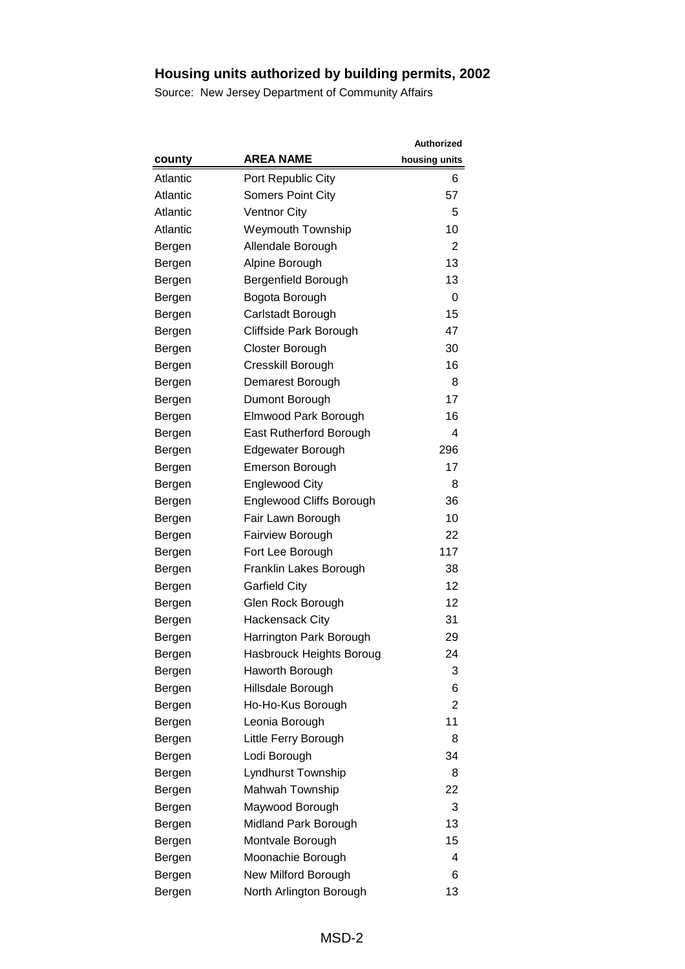|          |                          | <b>Authorized</b> |
|----------|--------------------------|-------------------|
| county   | <b>AREA NAME</b>         | housing units     |
| Atlantic | Port Republic City       | 6                 |
| Atlantic | <b>Somers Point City</b> | 57                |
| Atlantic | <b>Ventnor City</b>      | 5                 |
| Atlantic | <b>Weymouth Township</b> | 10                |
| Bergen   | Allendale Borough        | 2                 |
| Bergen   | Alpine Borough           | 13                |
| Bergen   | Bergenfield Borough      | 13                |
| Bergen   | Bogota Borough           | 0                 |
| Bergen   | Carlstadt Borough        | 15                |
| Bergen   | Cliffside Park Borough   | 47                |
| Bergen   | Closter Borough          | 30                |
| Bergen   | Cresskill Borough        | 16                |
| Bergen   | Demarest Borough         | 8                 |
| Bergen   | Dumont Borough           | 17                |
| Bergen   | Elmwood Park Borough     | 16                |
| Bergen   | East Rutherford Borough  | 4                 |
| Bergen   | Edgewater Borough        | 296               |
| Bergen   | <b>Emerson Borough</b>   | 17                |
| Bergen   | <b>Englewood City</b>    | 8                 |
| Bergen   | Englewood Cliffs Borough | 36                |
| Bergen   | Fair Lawn Borough        | 10                |
| Bergen   | <b>Fairview Borough</b>  | 22                |
| Bergen   | Fort Lee Borough         | 117               |
| Bergen   | Franklin Lakes Borough   | 38                |
| Bergen   | <b>Garfield City</b>     | 12                |
| Bergen   | Glen Rock Borough        | 12                |
| Bergen   | <b>Hackensack City</b>   | 31                |
| Bergen   | Harrington Park Borough  | 29                |
| Bergen   | Hasbrouck Heights Boroug | 24                |
| Bergen   | Haworth Borough          | 3                 |
| Bergen   | Hillsdale Borough        | 6                 |
| Bergen   | Ho-Ho-Kus Borough        | $\overline{2}$    |
| Bergen   | Leonia Borough           | 11                |
| Bergen   | Little Ferry Borough     | 8                 |
| Bergen   | Lodi Borough             | 34                |
| Bergen   | Lyndhurst Township       | 8                 |
| Bergen   | Mahwah Township          | 22                |
| Bergen   | Maywood Borough          | 3                 |
| Bergen   | Midland Park Borough     | 13                |
| Bergen   | Montvale Borough         | 15                |
| Bergen   | Moonachie Borough        | 4                 |
| Bergen   | New Milford Borough      | 6                 |
| Bergen   | North Arlington Borough  | 13                |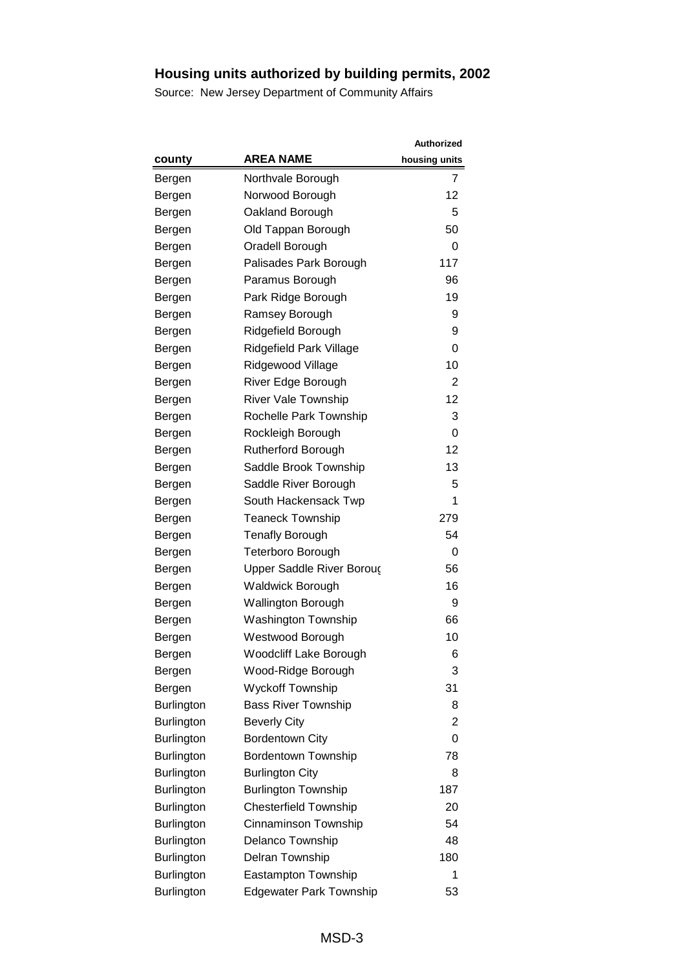|                   |                                | Authorized    |
|-------------------|--------------------------------|---------------|
| county            | <b>AREA NAME</b>               | housing units |
| Bergen            | Northvale Borough              | 7             |
| Bergen            | Norwood Borough                | 12            |
| Bergen            | Oakland Borough                | 5             |
| Bergen            | Old Tappan Borough             | 50            |
| Bergen            | Oradell Borough                | 0             |
| Bergen            | Palisades Park Borough         | 117           |
| Bergen            | Paramus Borough                | 96            |
| Bergen            | Park Ridge Borough             | 19            |
| Bergen            | Ramsey Borough                 | 9             |
| Bergen            | Ridgefield Borough             | 9             |
| Bergen            | Ridgefield Park Village        | 0             |
| Bergen            | Ridgewood Village              | 10            |
| Bergen            | River Edge Borough             | 2             |
| Bergen            | <b>River Vale Township</b>     | 12            |
| Bergen            | Rochelle Park Township         | 3             |
| Bergen            | Rockleigh Borough              | 0             |
| Bergen            | <b>Rutherford Borough</b>      | 12            |
| Bergen            | Saddle Brook Township          | 13            |
| Bergen            | Saddle River Borough           | 5             |
| Bergen            | South Hackensack Twp           | 1             |
| Bergen            | <b>Teaneck Township</b>        | 279           |
| Bergen            | <b>Tenafly Borough</b>         | 54            |
| Bergen            | <b>Teterboro Borough</b>       | 0             |
| Bergen            | Upper Saddle River Boroug      | 56            |
| Bergen            | <b>Waldwick Borough</b>        | 16            |
| Bergen            | <b>Wallington Borough</b>      | 9             |
| Bergen            | <b>Washington Township</b>     | 66            |
| Bergen            | Westwood Borough               | 10            |
| Bergen            | <b>Woodcliff Lake Borough</b>  | 6             |
| Bergen            | Wood-Ridge Borough             | 3             |
| Bergen            | <b>Wyckoff Township</b>        | 31            |
| <b>Burlington</b> | <b>Bass River Township</b>     | 8             |
| <b>Burlington</b> | <b>Beverly City</b>            | 2             |
| <b>Burlington</b> | <b>Bordentown City</b>         | 0             |
| Burlington        | <b>Bordentown Township</b>     | 78            |
| <b>Burlington</b> | <b>Burlington City</b>         | 8             |
| <b>Burlington</b> | <b>Burlington Township</b>     | 187           |
| <b>Burlington</b> | <b>Chesterfield Township</b>   | 20            |
| <b>Burlington</b> | Cinnaminson Township           | 54            |
| Burlington        | Delanco Township               | 48            |
| <b>Burlington</b> | Delran Township                | 180           |
| <b>Burlington</b> | Eastampton Township            | 1             |
| Burlington        | <b>Edgewater Park Township</b> | 53            |
|                   |                                |               |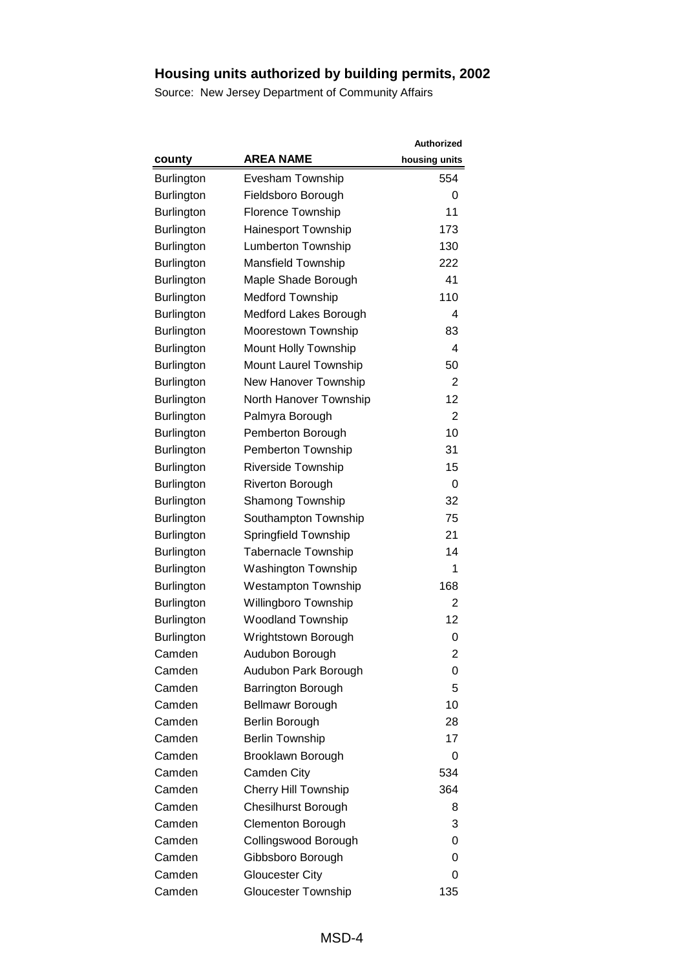|                   |                             | <b>Authorized</b> |
|-------------------|-----------------------------|-------------------|
| county            | <b>AREA NAME</b>            | housing units     |
| <b>Burlington</b> | Evesham Township            | 554               |
| Burlington        | Fieldsboro Borough          | 0                 |
| <b>Burlington</b> | <b>Florence Township</b>    | 11                |
| Burlington        | Hainesport Township         | 173               |
| Burlington        | <b>Lumberton Township</b>   | 130               |
| <b>Burlington</b> | Mansfield Township          | 222               |
| Burlington        | Maple Shade Borough         | 41                |
| <b>Burlington</b> | <b>Medford Township</b>     | 110               |
| <b>Burlington</b> | Medford Lakes Borough       | 4                 |
| Burlington        | Moorestown Township         | 83                |
| Burlington        | Mount Holly Township        | 4                 |
| Burlington        | Mount Laurel Township       | 50                |
| <b>Burlington</b> | New Hanover Township        | 2                 |
| <b>Burlington</b> | North Hanover Township      | 12                |
| <b>Burlington</b> | Palmyra Borough             | $\overline{2}$    |
| Burlington        | Pemberton Borough           | 10                |
| <b>Burlington</b> | Pemberton Township          | 31                |
| <b>Burlington</b> | Riverside Township          | 15                |
| <b>Burlington</b> | <b>Riverton Borough</b>     | 0                 |
| Burlington        | <b>Shamong Township</b>     | 32                |
| <b>Burlington</b> | Southampton Township        | 75                |
| Burlington        | Springfield Township        | 21                |
| Burlington        | <b>Tabernacle Township</b>  | 14                |
| Burlington        | <b>Washington Township</b>  | 1                 |
| <b>Burlington</b> | <b>Westampton Township</b>  | 168               |
| <b>Burlington</b> | Willingboro Township        | $\overline{2}$    |
| Burlington        | <b>Woodland Township</b>    | 12                |
| Burlington        | Wrightstown Borough         | 0                 |
| Camden            | Audubon Borough             | 2                 |
| Camden            | Audubon Park Borough        | 0                 |
| Camden            | <b>Barrington Borough</b>   | 5                 |
| Camden            | Bellmawr Borough            | 10                |
| Camden            | Berlin Borough              | 28                |
| Camden            | <b>Berlin Township</b>      | 17                |
| Camden            | Brooklawn Borough           | 0                 |
| Camden            | Camden City                 | 534               |
| Camden            | <b>Cherry Hill Township</b> | 364               |
| Camden            | <b>Chesilhurst Borough</b>  | 8                 |
| Camden            | <b>Clementon Borough</b>    | 3                 |
| Camden            | Collingswood Borough        | 0                 |
| Camden            | Gibbsboro Borough           | 0                 |
| Camden            | <b>Gloucester City</b>      | 0                 |
| Camden            | <b>Gloucester Township</b>  | 135               |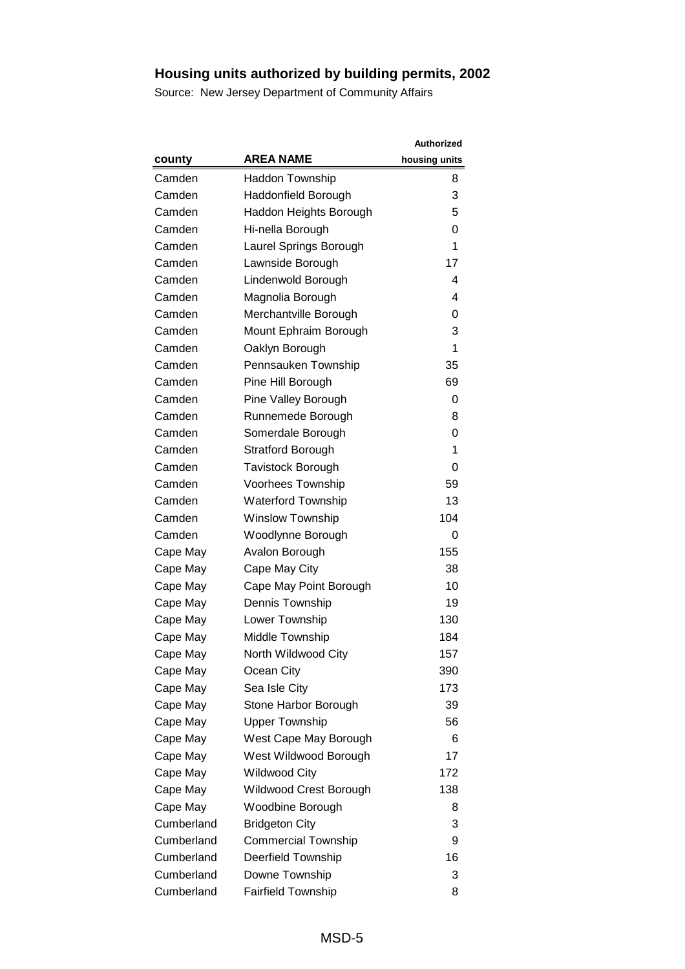|            |                            | <b>Authorized</b> |
|------------|----------------------------|-------------------|
| county     | <b>AREA NAME</b>           | housing units     |
| Camden     | Haddon Township            | 8                 |
| Camden     | Haddonfield Borough        | 3                 |
| Camden     | Haddon Heights Borough     | 5                 |
| Camden     | Hi-nella Borough           | 0                 |
| Camden     | Laurel Springs Borough     | 1                 |
| Camden     | Lawnside Borough           | 17                |
| Camden     | Lindenwold Borough         | 4                 |
| Camden     | Magnolia Borough           | 4                 |
| Camden     | Merchantville Borough      | 0                 |
| Camden     | Mount Ephraim Borough      | 3                 |
| Camden     | Oaklyn Borough             | 1                 |
| Camden     | Pennsauken Township        | 35                |
| Camden     | Pine Hill Borough          | 69                |
| Camden     | Pine Valley Borough        | 0                 |
| Camden     | Runnemede Borough          | 8                 |
| Camden     | Somerdale Borough          | 0                 |
| Camden     | <b>Stratford Borough</b>   | 1                 |
| Camden     | Tavistock Borough          | 0                 |
| Camden     | Voorhees Township          | 59                |
| Camden     | <b>Waterford Township</b>  | 13                |
| Camden     | <b>Winslow Township</b>    | 104               |
| Camden     | Woodlynne Borough          | 0                 |
| Cape May   | Avalon Borough             | 155               |
| Cape May   | Cape May City              | 38                |
| Cape May   | Cape May Point Borough     | 10                |
| Cape May   | Dennis Township            | 19                |
| Cape May   | Lower Township             | 130               |
| Cape May   | Middle Township            | 184               |
| Cape May   | North Wildwood City        | 157               |
| Cape May   | Ocean City                 | 390               |
| Cape May   | Sea Isle City              | 173               |
| Cape May   | Stone Harbor Borough       | 39                |
| Cape May   | <b>Upper Township</b>      | 56                |
| Cape May   | West Cape May Borough      | 6                 |
| Cape May   | West Wildwood Borough      | 17                |
| Cape May   | <b>Wildwood City</b>       | 172               |
| Cape May   | Wildwood Crest Borough     | 138               |
| Cape May   | Woodbine Borough           | 8                 |
| Cumberland | <b>Bridgeton City</b>      | 3                 |
| Cumberland | <b>Commercial Township</b> | 9                 |
| Cumberland | Deerfield Township         | 16                |
| Cumberland | Downe Township             | 3                 |
| Cumberland | <b>Fairfield Township</b>  | 8                 |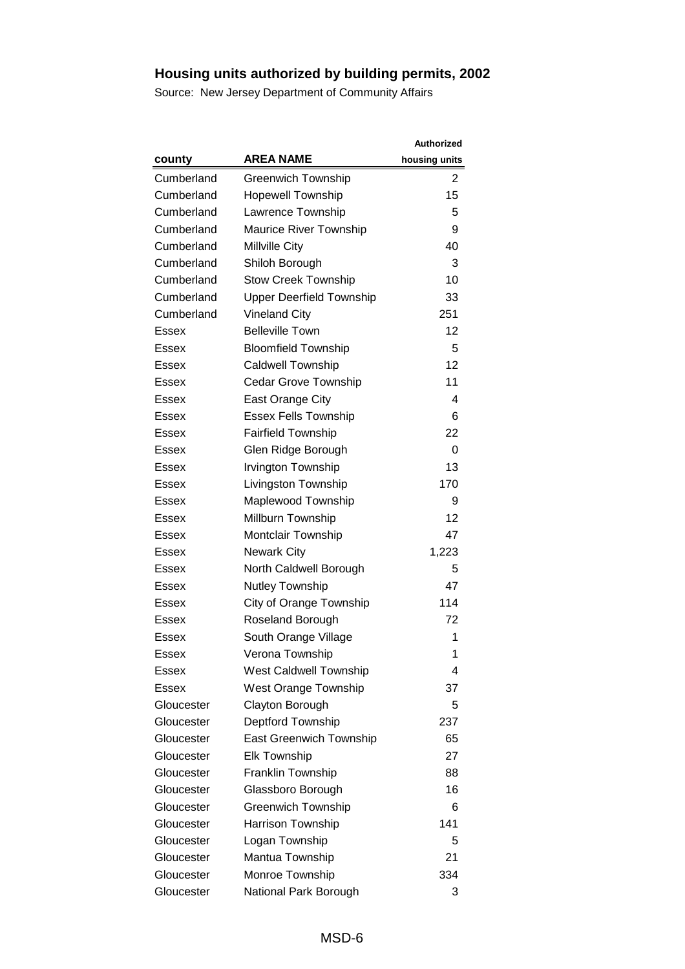|              |                                 | <b>Authorized</b> |
|--------------|---------------------------------|-------------------|
| county       | <b>AREA NAME</b>                | housing units     |
| Cumberland   | <b>Greenwich Township</b>       | 2                 |
| Cumberland   | <b>Hopewell Township</b>        | 15                |
| Cumberland   | Lawrence Township               | 5                 |
| Cumberland   | Maurice River Township          | 9                 |
| Cumberland   | Millville City                  | 40                |
| Cumberland   | Shiloh Borough                  | 3                 |
| Cumberland   | <b>Stow Creek Township</b>      | 10                |
| Cumberland   | <b>Upper Deerfield Township</b> | 33                |
| Cumberland   | <b>Vineland City</b>            | 251               |
| Essex        | <b>Belleville Town</b>          | 12                |
| Essex        | <b>Bloomfield Township</b>      | 5                 |
| <b>Essex</b> | <b>Caldwell Township</b>        | 12                |
| Essex        | <b>Cedar Grove Township</b>     | 11                |
| Essex        | East Orange City                | 4                 |
| Essex        | <b>Essex Fells Township</b>     | 6                 |
| Essex        | <b>Fairfield Township</b>       | 22                |
| Essex        | Glen Ridge Borough              | 0                 |
| Essex        | <b>Irvington Township</b>       | 13                |
| Essex        | Livingston Township             | 170               |
| Essex        | Maplewood Township              | 9                 |
| Essex        | Millburn Township               | 12                |
| Essex        | Montclair Township              | 47                |
| Essex        | <b>Newark City</b>              | 1,223             |
| Essex        | North Caldwell Borough          | 5                 |
| Essex        | Nutley Township                 | 47                |
| Essex        | City of Orange Township         | 114               |
| Essex        | Roseland Borough                | 72                |
| Essex        | South Orange Village            | 1                 |
| Essex        | Verona Township                 | 1                 |
| Essex        | <b>West Caldwell Township</b>   | 4                 |
| Essex        | <b>West Orange Township</b>     | 37                |
| Gloucester   | Clayton Borough                 | 5                 |
| Gloucester   | Deptford Township               | 237               |
| Gloucester   | East Greenwich Township         | 65                |
| Gloucester   | <b>Elk Township</b>             | 27                |
| Gloucester   | Franklin Township               | 88                |
| Gloucester   | Glassboro Borough               | 16                |
| Gloucester   | <b>Greenwich Township</b>       | 6                 |
| Gloucester   | Harrison Township               | 141               |
| Gloucester   | Logan Township                  | 5                 |
| Gloucester   | Mantua Township                 | 21                |
| Gloucester   | Monroe Township                 | 334               |
| Gloucester   | National Park Borough           | 3                 |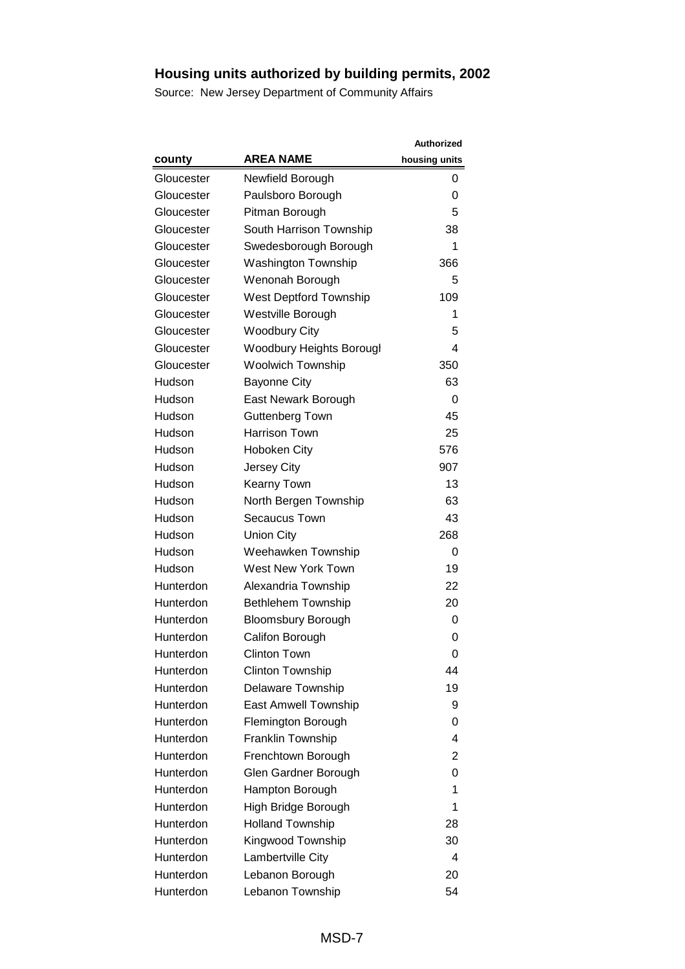|            |                                 | <b>Authorized</b> |
|------------|---------------------------------|-------------------|
| county     | <b>AREA NAME</b>                | housing units     |
| Gloucester | Newfield Borough                | 0                 |
| Gloucester | Paulsboro Borough               | 0                 |
| Gloucester | Pitman Borough                  | 5                 |
| Gloucester | South Harrison Township         | 38                |
| Gloucester | Swedesborough Borough           | 1                 |
| Gloucester | <b>Washington Township</b>      | 366               |
| Gloucester | Wenonah Borough                 | 5                 |
| Gloucester | <b>West Deptford Township</b>   | 109               |
| Gloucester | Westville Borough               | 1                 |
| Gloucester | <b>Woodbury City</b>            | 5                 |
| Gloucester | <b>Woodbury Heights Borougl</b> | 4                 |
| Gloucester | <b>Woolwich Township</b>        | 350               |
| Hudson     | <b>Bayonne City</b>             | 63                |
| Hudson     | East Newark Borough             | 0                 |
| Hudson     | Guttenberg Town                 | 45                |
| Hudson     | <b>Harrison Town</b>            | 25                |
| Hudson     | <b>Hoboken City</b>             | 576               |
| Hudson     | Jersey City                     | 907               |
| Hudson     | <b>Kearny Town</b>              | 13                |
| Hudson     | North Bergen Township           | 63                |
| Hudson     | Secaucus Town                   | 43                |
| Hudson     | <b>Union City</b>               | 268               |
| Hudson     | Weehawken Township              | 0                 |
| Hudson     | West New York Town              | 19                |
| Hunterdon  | Alexandria Township             | 22                |
| Hunterdon  | <b>Bethlehem Township</b>       | 20                |
| Hunterdon  | <b>Bloomsbury Borough</b>       | 0                 |
| Hunterdon  | Califon Borough                 | 0                 |
| Hunterdon  | Clinton Town                    | 0                 |
| Hunterdon  | <b>Clinton Township</b>         | 44                |
| Hunterdon  | Delaware Township               | 19                |
| Hunterdon  | East Amwell Township            | 9                 |
| Hunterdon  | Flemington Borough              | 0                 |
| Hunterdon  | Franklin Township               | 4                 |
| Hunterdon  | Frenchtown Borough              | 2                 |
| Hunterdon  | Glen Gardner Borough            | 0                 |
| Hunterdon  | Hampton Borough                 | 1                 |
| Hunterdon  | High Bridge Borough             | 1                 |
| Hunterdon  | <b>Holland Township</b>         | 28                |
| Hunterdon  | Kingwood Township               | 30                |
| Hunterdon  | Lambertville City               | 4                 |
| Hunterdon  | Lebanon Borough                 | 20                |
| Hunterdon  | Lebanon Township                | 54                |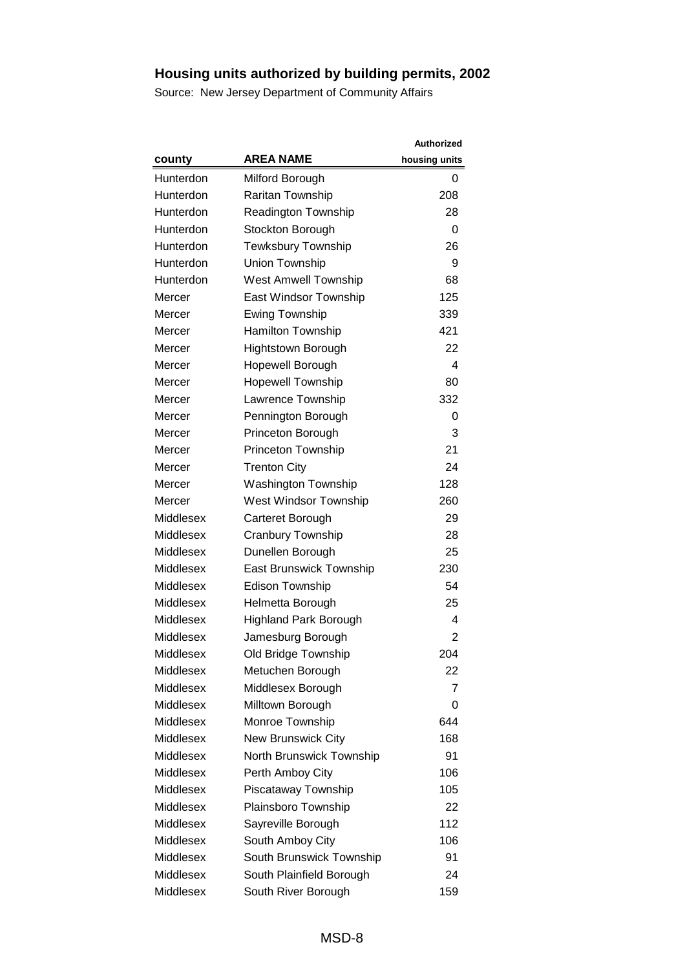|                  |                                | <b>Authorized</b> |
|------------------|--------------------------------|-------------------|
| county           | <b>AREA NAME</b>               | housing units     |
| Hunterdon        | Milford Borough                | 0                 |
| Hunterdon        | Raritan Township               | 208               |
| Hunterdon        | <b>Readington Township</b>     | 28                |
| Hunterdon        | Stockton Borough               | 0                 |
| Hunterdon        | Tewksbury Township             | 26                |
| Hunterdon        | Union Township                 | 9                 |
| Hunterdon        | <b>West Amwell Township</b>    | 68                |
| Mercer           | East Windsor Township          | 125               |
| Mercer           | <b>Ewing Township</b>          | 339               |
| Mercer           | <b>Hamilton Township</b>       | 421               |
| Mercer           | <b>Hightstown Borough</b>      | 22                |
| Mercer           | Hopewell Borough               | 4                 |
| Mercer           | <b>Hopewell Township</b>       | 80                |
| Mercer           | Lawrence Township              | 332               |
| Mercer           | Pennington Borough             | 0                 |
| Mercer           | Princeton Borough              | 3                 |
| Mercer           | Princeton Township             | 21                |
| Mercer           | <b>Trenton City</b>            | 24                |
| Mercer           | <b>Washington Township</b>     | 128               |
| Mercer           | West Windsor Township          | 260               |
| Middlesex        | Carteret Borough               | 29                |
| Middlesex        | Cranbury Township              | 28                |
| Middlesex        | Dunellen Borough               | 25                |
| Middlesex        | <b>East Brunswick Township</b> | 230               |
| Middlesex        | <b>Edison Township</b>         | 54                |
| Middlesex        | Helmetta Borough               | 25                |
| Middlesex        | <b>Highland Park Borough</b>   | 4                 |
| Middlesex        | Jamesburg Borough              | $\overline{2}$    |
| Middlesex        | Old Bridge Township            | 204               |
| Middlesex        | Metuchen Borough               | 22                |
| Middlesex        | Middlesex Borough              | $\overline{7}$    |
| Middlesex        | Milltown Borough               | 0                 |
| Middlesex        | Monroe Township                | 644               |
| Middlesex        | <b>New Brunswick City</b>      | 168               |
| Middlesex        | North Brunswick Township       | 91                |
| Middlesex        | Perth Amboy City               | 106               |
| Middlesex        | Piscataway Township            | 105               |
| <b>Middlesex</b> | Plainsboro Township            | 22                |
| Middlesex        | Sayreville Borough             | 112               |
| Middlesex        | South Amboy City               | 106               |
| Middlesex        | South Brunswick Township       | 91                |
| Middlesex        | South Plainfield Borough       | 24                |
| Middlesex        | South River Borough            | 159               |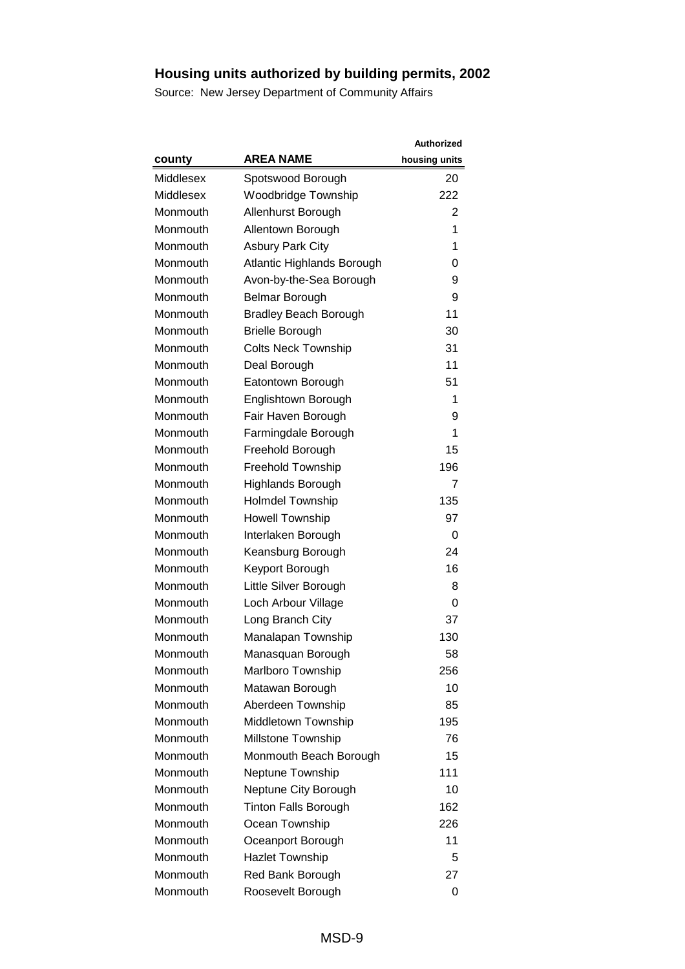|                  |                              | <b>Authorized</b> |
|------------------|------------------------------|-------------------|
| county           | <b>AREA NAME</b>             | housing units     |
| <b>Middlesex</b> | Spotswood Borough            | 20                |
| Middlesex        | <b>Woodbridge Township</b>   | 222               |
| Monmouth         | Allenhurst Borough           | 2                 |
| Monmouth         | Allentown Borough            | 1                 |
| Monmouth         | <b>Asbury Park City</b>      | 1                 |
| Monmouth         | Atlantic Highlands Borough   | 0                 |
| Monmouth         | Avon-by-the-Sea Borough      | 9                 |
| Monmouth         | Belmar Borough               | 9                 |
| Monmouth         | <b>Bradley Beach Borough</b> | 11                |
| Monmouth         | <b>Brielle Borough</b>       | 30                |
| Monmouth         | <b>Colts Neck Township</b>   | 31                |
| Monmouth         | Deal Borough                 | 11                |
| Monmouth         | Eatontown Borough            | 51                |
| Monmouth         | Englishtown Borough          | 1                 |
| Monmouth         | Fair Haven Borough           | 9                 |
| Monmouth         | Farmingdale Borough          | 1                 |
| Monmouth         | Freehold Borough             | 15                |
| Monmouth         | Freehold Township            | 196               |
| Monmouth         | <b>Highlands Borough</b>     | 7                 |
| Monmouth         | <b>Holmdel Township</b>      | 135               |
| Monmouth         | <b>Howell Township</b>       | 97                |
| Monmouth         | Interlaken Borough           | 0                 |
| Monmouth         | Keansburg Borough            | 24                |
| Monmouth         | Keyport Borough              | 16                |
| Monmouth         | Little Silver Borough        | 8                 |
| Monmouth         | Loch Arbour Village          | 0                 |
| Monmouth         | Long Branch City             | 37                |
| Monmouth         | Manalapan Township           | 130               |
| Monmouth         | Manasquan Borough            | 58                |
| Monmouth         | Marlboro Township            | 256               |
| Monmouth         | Matawan Borough              | 10                |
| Monmouth         | Aberdeen Township            | 85                |
| Monmouth         | Middletown Township          | 195               |
| Monmouth         | Millstone Township           | 76                |
| Monmouth         | Monmouth Beach Borough       | 15                |
| Monmouth         | Neptune Township             | 111               |
| Monmouth         | Neptune City Borough         | 10                |
| Monmouth         | <b>Tinton Falls Borough</b>  | 162               |
| Monmouth         | Ocean Township               | 226               |
| Monmouth         | Oceanport Borough            | 11                |
| Monmouth         | <b>Hazlet Township</b>       | 5                 |
| Monmouth         | Red Bank Borough             | 27                |
| Monmouth         | Roosevelt Borough            | 0                 |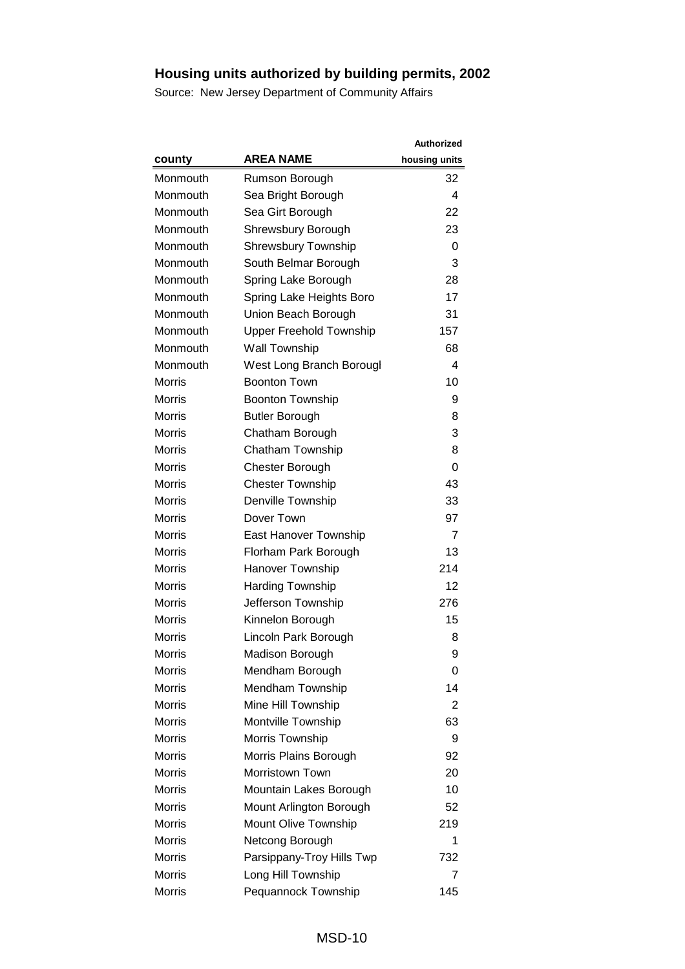|               |                                | <b>Authorized</b> |
|---------------|--------------------------------|-------------------|
| county        | <b>AREA NAME</b>               | housing units     |
| Monmouth      | Rumson Borough                 | 32                |
| Monmouth      | Sea Bright Borough             | 4                 |
| Monmouth      | Sea Girt Borough               | 22                |
| Monmouth      | Shrewsbury Borough             | 23                |
| Monmouth      | <b>Shrewsbury Township</b>     | 0                 |
| Monmouth      | South Belmar Borough           | 3                 |
| Monmouth      | Spring Lake Borough            | 28                |
| Monmouth      | Spring Lake Heights Boro       | 17                |
| Monmouth      | Union Beach Borough            | 31                |
| Monmouth      | <b>Upper Freehold Township</b> | 157               |
| Monmouth      | Wall Township                  | 68                |
| Monmouth      | West Long Branch Borougl       | 4                 |
| Morris        | <b>Boonton Town</b>            | 10                |
| <b>Morris</b> | <b>Boonton Township</b>        | 9                 |
| <b>Morris</b> | <b>Butler Borough</b>          | 8                 |
| <b>Morris</b> | Chatham Borough                | 3                 |
| <b>Morris</b> | Chatham Township               | 8                 |
| <b>Morris</b> | Chester Borough                | 0                 |
| <b>Morris</b> | <b>Chester Township</b>        | 43                |
| <b>Morris</b> | Denville Township              | 33                |
| <b>Morris</b> | Dover Town                     | 97                |
| <b>Morris</b> | East Hanover Township          | 7                 |
| <b>Morris</b> | Florham Park Borough           | 13                |
| <b>Morris</b> | Hanover Township               | 214               |
| <b>Morris</b> | <b>Harding Township</b>        | 12                |
| <b>Morris</b> | Jefferson Township             | 276               |
| <b>Morris</b> | Kinnelon Borough               | 15                |
| <b>Morris</b> | Lincoln Park Borough           | 8                 |
| <b>Morris</b> | Madison Borough                | 9                 |
| <b>Morris</b> | Mendham Borough                | 0                 |
| <b>Morris</b> | Mendham Township               | 14                |
| <b>Morris</b> | Mine Hill Township             | $\overline{2}$    |
| <b>Morris</b> | Montville Township             | 63                |
| <b>Morris</b> | Morris Township                | 9                 |
| <b>Morris</b> | Morris Plains Borough          | 92                |
| <b>Morris</b> | Morristown Town                | 20                |
| <b>Morris</b> | Mountain Lakes Borough         | 10                |
| <b>Morris</b> | Mount Arlington Borough        | 52                |
| <b>Morris</b> | Mount Olive Township           | 219               |
| <b>Morris</b> | Netcong Borough                | 1                 |
| <b>Morris</b> | Parsippany-Troy Hills Twp      | 732               |
| <b>Morris</b> | Long Hill Township             | 7                 |
| <b>Morris</b> | Pequannock Township            | 145               |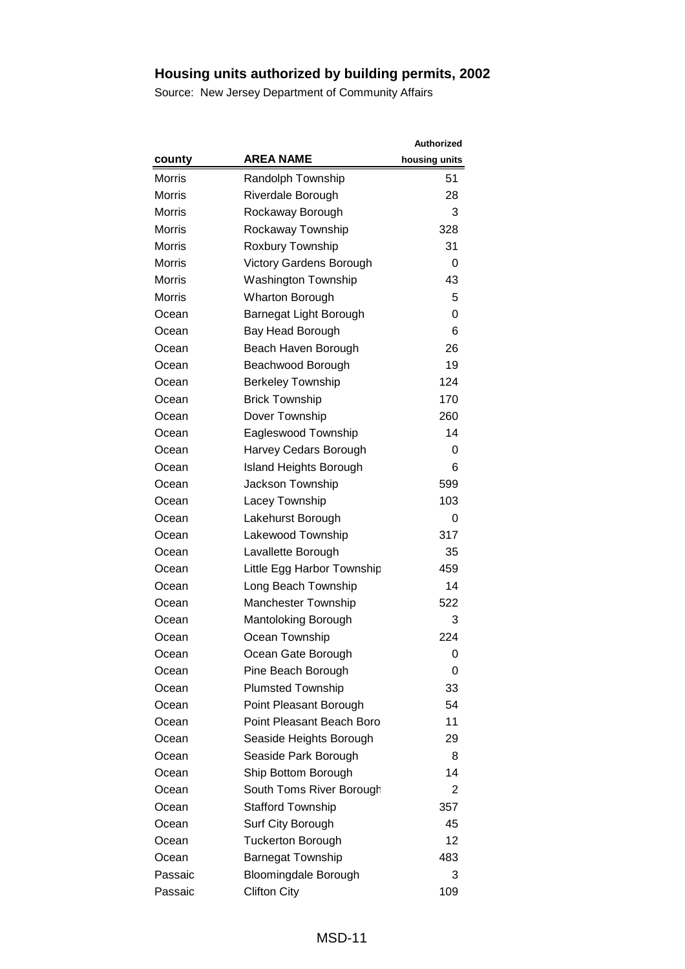|               |                                | <b>Authorized</b> |
|---------------|--------------------------------|-------------------|
| county        | <b>AREA NAME</b>               | housing units     |
| <b>Morris</b> | Randolph Township              | 51                |
| <b>Morris</b> | Riverdale Borough              | 28                |
| <b>Morris</b> | Rockaway Borough               | 3                 |
| <b>Morris</b> | Rockaway Township              | 328               |
| <b>Morris</b> | Roxbury Township               | 31                |
| <b>Morris</b> | <b>Victory Gardens Borough</b> | 0                 |
| <b>Morris</b> | <b>Washington Township</b>     | 43                |
| <b>Morris</b> | <b>Wharton Borough</b>         | 5                 |
| Ocean         | Barnegat Light Borough         | 0                 |
| Ocean         | Bay Head Borough               | 6                 |
| Ocean         | Beach Haven Borough            | 26                |
| Ocean         | Beachwood Borough              | 19                |
| Ocean         | <b>Berkeley Township</b>       | 124               |
| Ocean         | <b>Brick Township</b>          | 170               |
| Ocean         | Dover Township                 | 260               |
| Ocean         | Eagleswood Township            | 14                |
| Ocean         | Harvey Cedars Borough          | 0                 |
| Ocean         | <b>Island Heights Borough</b>  | 6                 |
| Ocean         | Jackson Township               | 599               |
| Ocean         | Lacey Township                 | 103               |
| Ocean         | Lakehurst Borough              | 0                 |
| Ocean         | Lakewood Township              | 317               |
| Ocean         | Lavallette Borough             | 35                |
| Ocean         | Little Egg Harbor Township     | 459               |
| Ocean         | Long Beach Township            | 14                |
| Ocean         | <b>Manchester Township</b>     | 522               |
| Ocean         | Mantoloking Borough            | 3                 |
| Ocean         | Ocean Township                 | 224               |
| Ocean         | Ocean Gate Borough             | 0                 |
| Ocean         | Pine Beach Borough             | 0                 |
| Ocean         | <b>Plumsted Township</b>       | 33                |
| Ocean         | Point Pleasant Borough         | 54                |
| Ocean         | Point Pleasant Beach Boro      | 11                |
| Ocean         | Seaside Heights Borough        | 29                |
| Ocean         | Seaside Park Borough           | 8                 |
| Ocean         | Ship Bottom Borough            | 14                |
| Ocean         | South Toms River Borough       | 2                 |
| Ocean         | <b>Stafford Township</b>       | 357               |
| Ocean         | Surf City Borough              | 45                |
| Ocean         | <b>Tuckerton Borough</b>       | 12                |
| Ocean         | <b>Barnegat Township</b>       | 483               |
| Passaic       | <b>Bloomingdale Borough</b>    | 3                 |
| Passaic       | <b>Clifton City</b>            | 109               |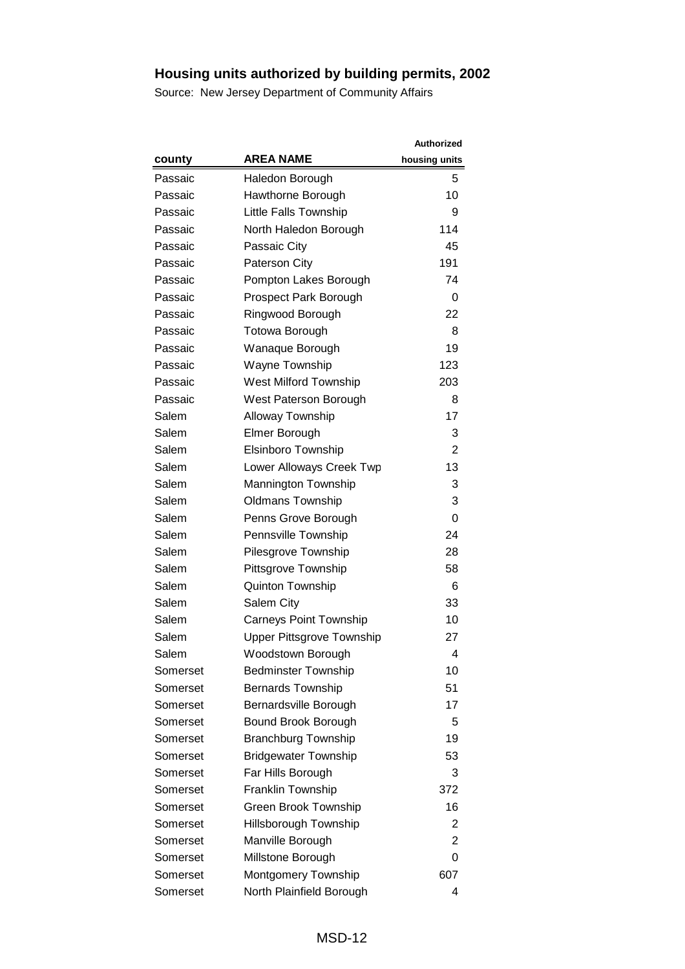|          |                                  | Authorized     |
|----------|----------------------------------|----------------|
| county   | <b>AREA NAME</b>                 | housing units  |
| Passaic  | Haledon Borough                  | 5              |
| Passaic  | Hawthorne Borough                | 10             |
| Passaic  | Little Falls Township            | 9              |
| Passaic  | North Haledon Borough            | 114            |
| Passaic  | Passaic City                     | 45             |
| Passaic  | <b>Paterson City</b>             | 191            |
| Passaic  | Pompton Lakes Borough            | 74             |
| Passaic  | Prospect Park Borough            | 0              |
| Passaic  | Ringwood Borough                 | 22             |
| Passaic  | <b>Totowa Borough</b>            | 8              |
| Passaic  | Wanaque Borough                  | 19             |
| Passaic  | <b>Wayne Township</b>            | 123            |
| Passaic  | <b>West Milford Township</b>     | 203            |
| Passaic  | West Paterson Borough            | 8              |
| Salem    | <b>Alloway Township</b>          | 17             |
| Salem    | Elmer Borough                    | 3              |
| Salem    | <b>Elsinboro Township</b>        | $\overline{2}$ |
| Salem    | Lower Alloways Creek Twp         | 13             |
| Salem    | Mannington Township              | 3              |
| Salem    | <b>Oldmans Township</b>          | 3              |
| Salem    | Penns Grove Borough              | 0              |
| Salem    | Pennsville Township              | 24             |
| Salem    | Pilesgrove Township              | 28             |
| Salem    | Pittsgrove Township              | 58             |
| Salem    | <b>Quinton Township</b>          | 6              |
| Salem    | Salem City                       | 33             |
| Salem    | <b>Carneys Point Township</b>    | 10             |
| Salem    | <b>Upper Pittsgrove Township</b> | 27             |
| Salem    | Woodstown Borough                | 4              |
| Somerset | <b>Bedminster Township</b>       | 10             |
| Somerset | <b>Bernards Township</b>         | 51             |
| Somerset | Bernardsville Borough            | 17             |
| Somerset | Bound Brook Borough              | 5              |
| Somerset | <b>Branchburg Township</b>       | 19             |
| Somerset | <b>Bridgewater Township</b>      | 53             |
| Somerset | Far Hills Borough                | 3              |
| Somerset | Franklin Township                | 372            |
| Somerset | <b>Green Brook Township</b>      | 16             |
| Somerset | Hillsborough Township            | 2              |
| Somerset | Manville Borough                 | 2              |
| Somerset | Millstone Borough                | 0              |
| Somerset | Montgomery Township              | 607            |
| Somerset | North Plainfield Borough         | 4              |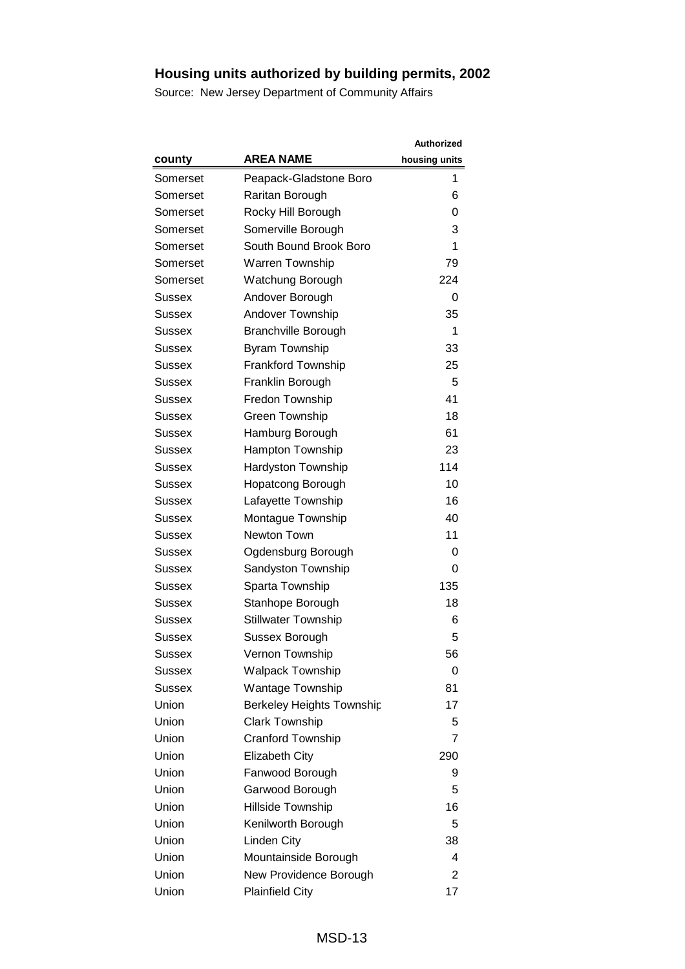|               |                                  | <b>Authorized</b> |
|---------------|----------------------------------|-------------------|
| county        | <b>AREA NAME</b>                 | housing units     |
| Somerset      | Peapack-Gladstone Boro           | 1                 |
| Somerset      | Raritan Borough                  | 6                 |
| Somerset      | Rocky Hill Borough               | 0                 |
| Somerset      | Somerville Borough               | 3                 |
| Somerset      | South Bound Brook Boro           | 1                 |
| Somerset      | <b>Warren Township</b>           | 79                |
| Somerset      | Watchung Borough                 | 224               |
| <b>Sussex</b> | Andover Borough                  | 0                 |
| Sussex        | Andover Township                 | 35                |
| Sussex        | <b>Branchville Borough</b>       | 1                 |
| Sussex        | <b>Byram Township</b>            | 33                |
| Sussex        | <b>Frankford Township</b>        | 25                |
| Sussex        | Franklin Borough                 | 5                 |
| Sussex        | Fredon Township                  | 41                |
| Sussex        | Green Township                   | 18                |
| <b>Sussex</b> | Hamburg Borough                  | 61                |
| Sussex        | Hampton Township                 | 23                |
| Sussex        | <b>Hardyston Township</b>        | 114               |
| <b>Sussex</b> | Hopatcong Borough                | 10                |
| Sussex        | Lafayette Township               | 16                |
| Sussex        | Montague Township                | 40                |
| Sussex        | Newton Town                      | 11                |
| Sussex        | Ogdensburg Borough               | 0                 |
| <b>Sussex</b> | Sandyston Township               | 0                 |
| Sussex        | Sparta Township                  | 135               |
| Sussex        | Stanhope Borough                 | 18                |
| <b>Sussex</b> | <b>Stillwater Township</b>       | 6                 |
| Sussex        | Sussex Borough                   | 5                 |
| <b>Sussex</b> | Vernon Township                  | 56                |
| Sussex        | <b>Walpack Township</b>          | 0                 |
| <b>Sussex</b> | Wantage Township                 | 81                |
| Union         | <b>Berkeley Heights Township</b> | 17                |
| Union         | <b>Clark Township</b>            | 5                 |
| Union         | Cranford Township                | $\overline{7}$    |
| Union         | <b>Elizabeth City</b>            | 290               |
| Union         | Fanwood Borough                  | 9                 |
| Union         | Garwood Borough                  | 5                 |
| Union         | Hillside Township                | 16                |
| Union         | Kenilworth Borough               | 5                 |
| Union         | Linden City                      | 38                |
| Union         | Mountainside Borough             | 4                 |
| Union         | New Providence Borough           | 2                 |
| Union         | <b>Plainfield City</b>           | 17                |